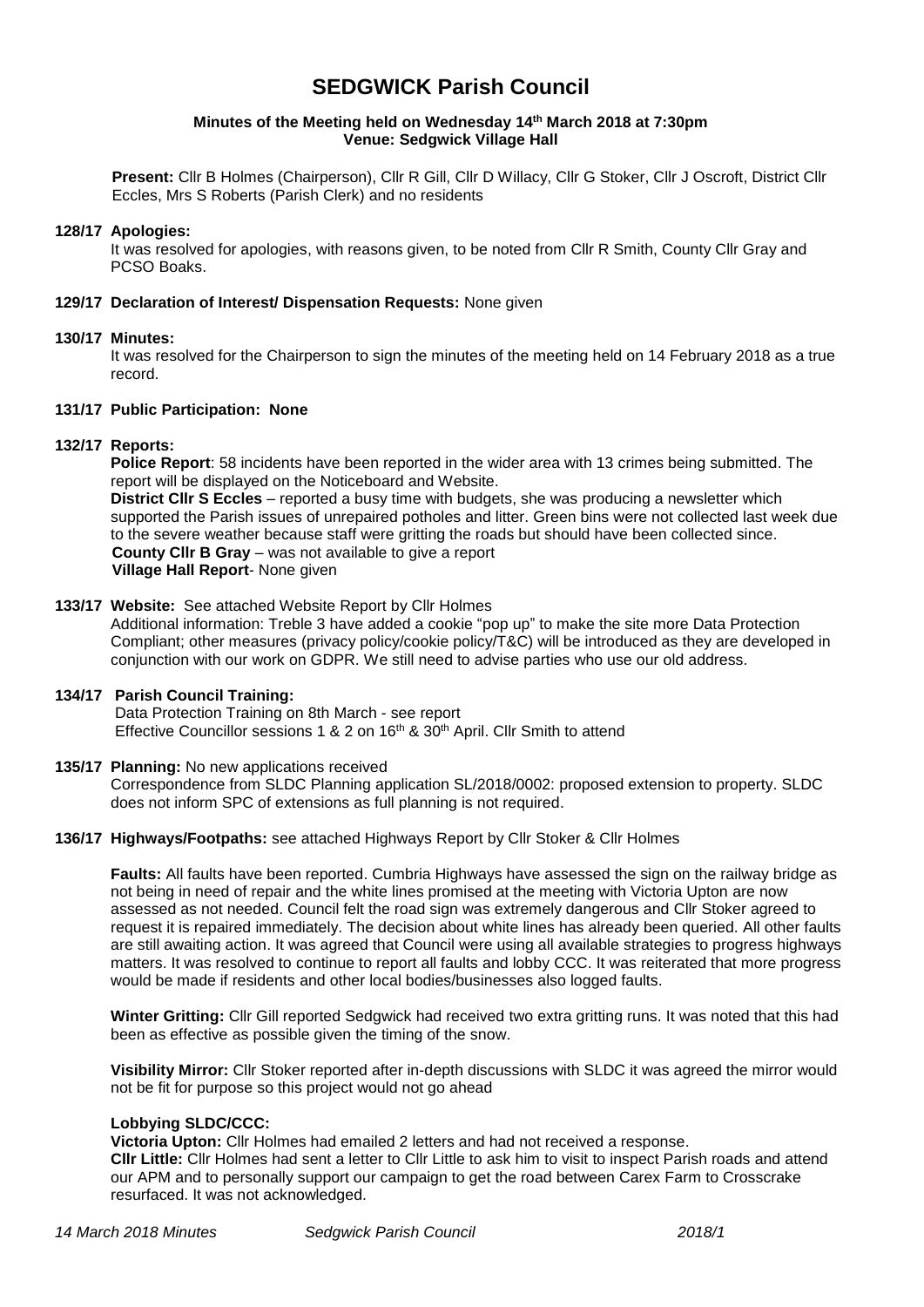# **SEDGWICK Parish Council**

#### **Minutes of the Meeting held on Wednesday 14 th March 2018 at 7:30pm Venue: Sedgwick Village Hall**

**Present:** Cllr B Holmes (Chairperson), Cllr R Gill, Cllr D Willacy, Cllr G Stoker, Cllr J Oscroft, District Cllr Eccles, Mrs S Roberts (Parish Clerk) and no residents

#### **128/17 Apologies:**

It was resolved for apologies, with reasons given, to be noted from Cllr R Smith, County Cllr Gray and PCSO Boaks.

#### **129/17 Declaration of Interest/ Dispensation Requests:** None given

#### **130/17 Minutes:**

It was resolved for the Chairperson to sign the minutes of the meeting held on 14 February 2018 as a true record.

#### **131/17 Public Participation: None**

## **132/17 Reports:**

**Police Report**: 58 incidents have been reported in the wider area with 13 crimes being submitted. The report will be displayed on the Noticeboard and Website.

**District Cllr S Eccles** – reported a busy time with budgets, she was producing a newsletter which supported the Parish issues of unrepaired potholes and litter. Green bins were not collected last week due to the severe weather because staff were gritting the roads but should have been collected since. **County Cllr B Gray** – was not available to give a report **Village Hall Report**- None given

## **133/17 Website:** See attached Website Report by Cllr Holmes

Additional information: Treble 3 have added a cookie "pop up" to make the site more Data Protection Compliant; other measures (privacy policy/cookie policy/T&C) will be introduced as they are developed in conjunction with our work on GDPR. We still need to advise parties who use our old address.

## **134/17 Parish Council Training:**

Data Protection Training on 8th March - see report Effective Councillor sessions 1 & 2 on 16<sup>th</sup> & 30<sup>th</sup> April. Cllr Smith to attend

## **135/17 Planning:** No new applications received

Correspondence from SLDC Planning application SL/2018/0002: proposed extension to property. SLDC does not inform SPC of extensions as full planning is not required.

#### **136/17 Highways/Footpaths:** see attached Highways Report by Cllr Stoker & Cllr Holmes

 **Faults:** All faults have been reported. Cumbria Highways have assessed the sign on the railway bridge as not being in need of repair and the white lines promised at the meeting with Victoria Upton are now assessed as not needed. Council felt the road sign was extremely dangerous and Cllr Stoker agreed to request it is repaired immediately. The decision about white lines has already been queried. All other faults are still awaiting action. It was agreed that Council were using all available strategies to progress highways matters. It was resolved to continue to report all faults and lobby CCC. It was reiterated that more progress would be made if residents and other local bodies/businesses also logged faults.

**Winter Gritting:** Cllr Gill reported Sedgwick had received two extra gritting runs. It was noted that this had been as effective as possible given the timing of the snow.

**Visibility Mirror:** Cllr Stoker reported after in-depth discussions with SLDC it was agreed the mirror would not be fit for purpose so this project would not go ahead

#### **Lobbying SLDC/CCC:**

**Victoria Upton:** Cllr Holmes had emailed 2 letters and had not received a response. **Cllr Little:** Cllr Holmes had sent a letter to Cllr Little to ask him to visit to inspect Parish roads and attend our APM and to personally support our campaign to get the road between Carex Farm to Crosscrake resurfaced. It was not acknowledged.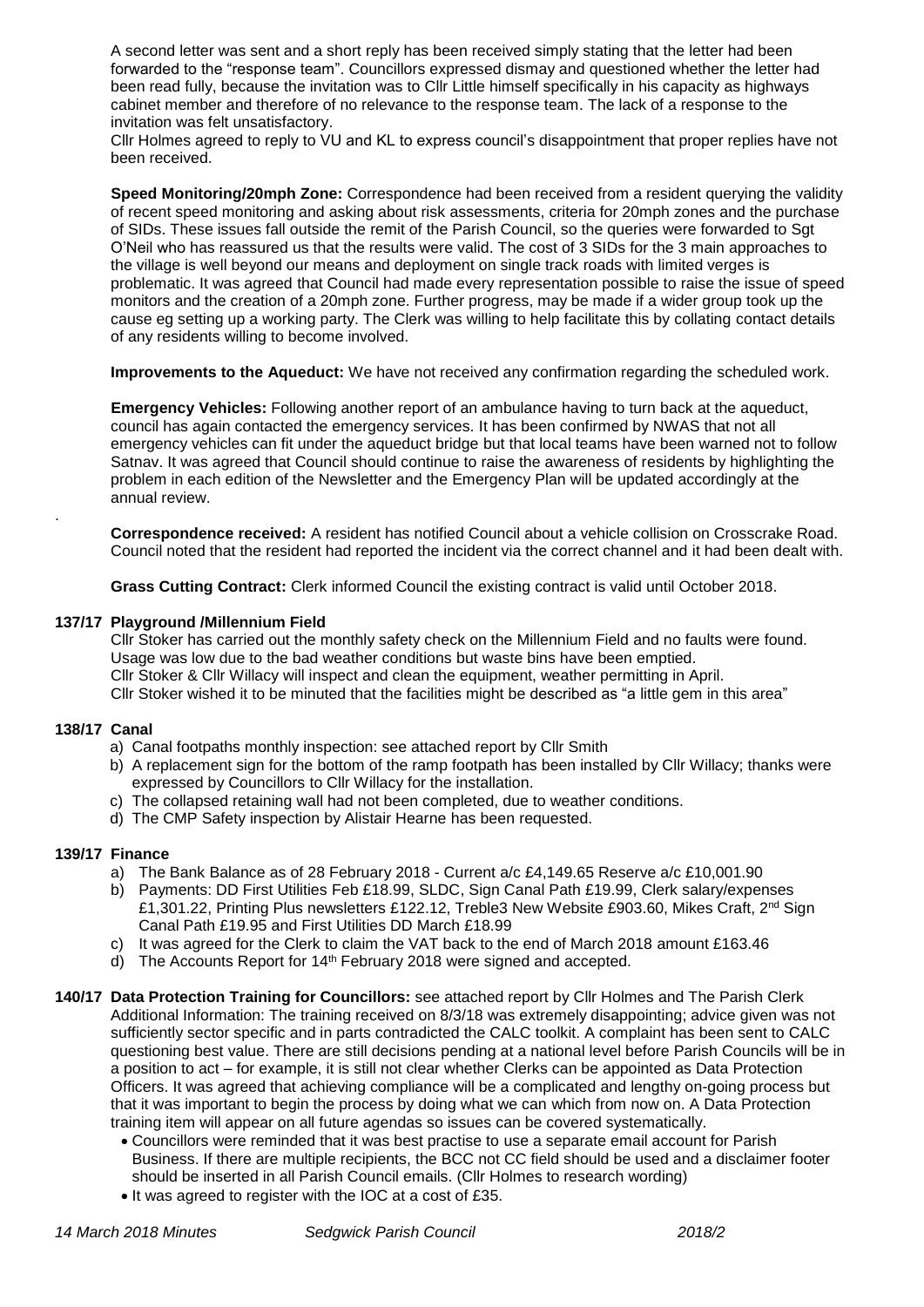A second letter was sent and a short reply has been received simply stating that the letter had been forwarded to the "response team". Councillors expressed dismay and questioned whether the letter had been read fully, because the invitation was to Cllr Little himself specifically in his capacity as highways cabinet member and therefore of no relevance to the response team. The lack of a response to the invitation was felt unsatisfactory.

Cllr Holmes agreed to reply to VU and KL to express council's disappointment that proper replies have not been received.

 **Speed Monitoring/20mph Zone:** Correspondence had been received from a resident querying the validity of recent speed monitoring and asking about risk assessments, criteria for 20mph zones and the purchase of SIDs. These issues fall outside the remit of the Parish Council, so the queries were forwarded to Sgt O'Neil who has reassured us that the results were valid. The cost of 3 SIDs for the 3 main approaches to the village is well beyond our means and deployment on single track roads with limited verges is problematic. It was agreed that Council had made every representation possible to raise the issue of speed monitors and the creation of a 20mph zone. Further progress, may be made if a wider group took up the cause eg setting up a working party. The Clerk was willing to help facilitate this by collating contact details of any residents willing to become involved.

**Improvements to the Aqueduct:** We have not received any confirmation regarding the scheduled work.

 **Emergency Vehicles:** Following another report of an ambulance having to turn back at the aqueduct, council has again contacted the emergency services. It has been confirmed by NWAS that not all emergency vehicles can fit under the aqueduct bridge but that local teams have been warned not to follow Satnav. It was agreed that Council should continue to raise the awareness of residents by highlighting the problem in each edition of the Newsletter and the Emergency Plan will be updated accordingly at the annual review.

**Correspondence received:** A resident has notified Council about a vehicle collision on Crosscrake Road. Council noted that the resident had reported the incident via the correct channel and it had been dealt with.

**Grass Cutting Contract:** Clerk informed Council the existing contract is valid until October 2018.

## **137/17 Playground /Millennium Field**

Cllr Stoker has carried out the monthly safety check on the Millennium Field and no faults were found. Usage was low due to the bad weather conditions but waste bins have been emptied. Cllr Stoker & Cllr Willacy will inspect and clean the equipment, weather permitting in April. Cllr Stoker wished it to be minuted that the facilities might be described as "a little gem in this area"

#### **138/17 Canal**

.

- a) Canal footpaths monthly inspection: see attached report by Cllr Smith
- b) A replacement sign for the bottom of the ramp footpath has been installed by Cllr Willacy; thanks were expressed by Councillors to Cllr Willacy for the installation.
- c) The collapsed retaining wall had not been completed, due to weather conditions.
- d) The CMP Safety inspection by Alistair Hearne has been requested.

#### **139/17 Finance**

- a) The Bank Balance as of 28 February 2018 Current a/c £4,149.65 Reserve a/c £10,001.90
- b) Payments: DD First Utilities Feb £18.99, SLDC, Sign Canal Path £19.99, Clerk salary/expenses £1,301.22, Printing Plus newsletters £122.12, Treble3 New Website £903.60, Mikes Craft, 2<sup>nd</sup> Sign Canal Path £19.95 and First Utilities DD March £18.99
- c) It was agreed for the Clerk to claim the VAT back to the end of March 2018 amount £163.46
- d) The Accounts Report for 14<sup>th</sup> February 2018 were signed and accepted.
- **140/17 Data Protection Training for Councillors:** see attached report by Cllr Holmes and The Parish Clerk Additional Information: The training received on 8/3/18 was extremely disappointing; advice given was not sufficiently sector specific and in parts contradicted the CALC toolkit. A complaint has been sent to CALC questioning best value. There are still decisions pending at a national level before Parish Councils will be in a position to act – for example, it is still not clear whether Clerks can be appointed as Data Protection Officers. It was agreed that achieving compliance will be a complicated and lengthy on-going process but that it was important to begin the process by doing what we can which from now on. A Data Protection training item will appear on all future agendas so issues can be covered systematically.
	- Councillors were reminded that it was best practise to use a separate email account for Parish Business. If there are multiple recipients, the BCC not CC field should be used and a disclaimer footer should be inserted in all Parish Council emails. (Cllr Holmes to research wording)
	- It was agreed to register with the IOC at a cost of £35.